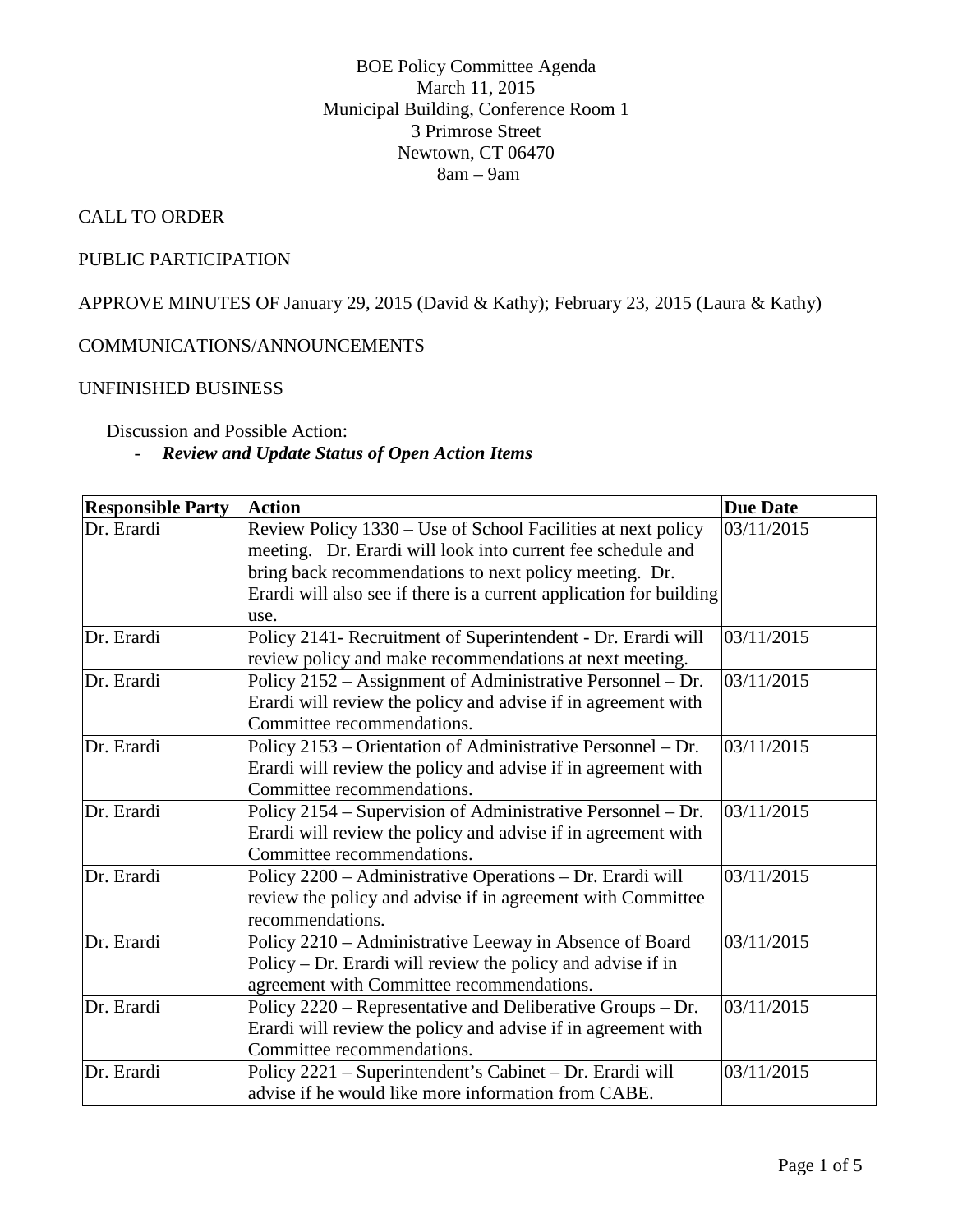### BOE Policy Committee Agenda March 11, 2015 Municipal Building, Conference Room 1 3 Primrose Street Newtown, CT 06470 8am – 9am

## CALL TO ORDER

## PUBLIC PARTICIPATION

APPROVE MINUTES OF January 29, 2015 (David & Kathy); February 23, 2015 (Laura & Kathy)

## COMMUNICATIONS/ANNOUNCEMENTS

### UNFINISHED BUSINESS

Discussion and Possible Action:

### - *Review and Update Status of Open Action Items*

| <b>Responsible Party</b> | <b>Action</b>                                                       | <b>Due Date</b> |
|--------------------------|---------------------------------------------------------------------|-----------------|
| Dr. Erardi               | Review Policy 1330 - Use of School Facilities at next policy        | 03/11/2015      |
|                          | meeting. Dr. Erardi will look into current fee schedule and         |                 |
|                          | bring back recommendations to next policy meeting. Dr.              |                 |
|                          | Erardi will also see if there is a current application for building |                 |
|                          | use.                                                                |                 |
| Dr. Erardi               | Policy 2141- Recruitment of Superintendent - Dr. Erardi will        | 03/11/2015      |
|                          | review policy and make recommendations at next meeting.             |                 |
| Dr. Erardi               | Policy 2152 - Assignment of Administrative Personnel - Dr.          | 03/11/2015      |
|                          | Erardi will review the policy and advise if in agreement with       |                 |
|                          | Committee recommendations.                                          |                 |
| Dr. Erardi               | Policy 2153 – Orientation of Administrative Personnel – Dr.         | 03/11/2015      |
|                          | Erardi will review the policy and advise if in agreement with       |                 |
|                          | Committee recommendations.                                          |                 |
| Dr. Erardi               | Policy 2154 – Supervision of Administrative Personnel – Dr.         | 03/11/2015      |
|                          | Erardi will review the policy and advise if in agreement with       |                 |
|                          | Committee recommendations.                                          |                 |
| Dr. Erardi               | Policy 2200 - Administrative Operations - Dr. Erardi will           | 03/11/2015      |
|                          | review the policy and advise if in agreement with Committee         |                 |
|                          | recommendations.                                                    |                 |
| Dr. Erardi               | Policy 2210 - Administrative Leeway in Absence of Board             | 03/11/2015      |
|                          | Policy – Dr. Erardi will review the policy and advise if in         |                 |
|                          | agreement with Committee recommendations.                           |                 |
| Dr. Erardi               | Policy 2220 – Representative and Deliberative Groups – Dr.          | 03/11/2015      |
|                          | Erardi will review the policy and advise if in agreement with       |                 |
|                          | Committee recommendations.                                          |                 |
| Dr. Erardi               | Policy 2221 - Superintendent's Cabinet - Dr. Erardi will            | 03/11/2015      |
|                          | advise if he would like more information from CABE.                 |                 |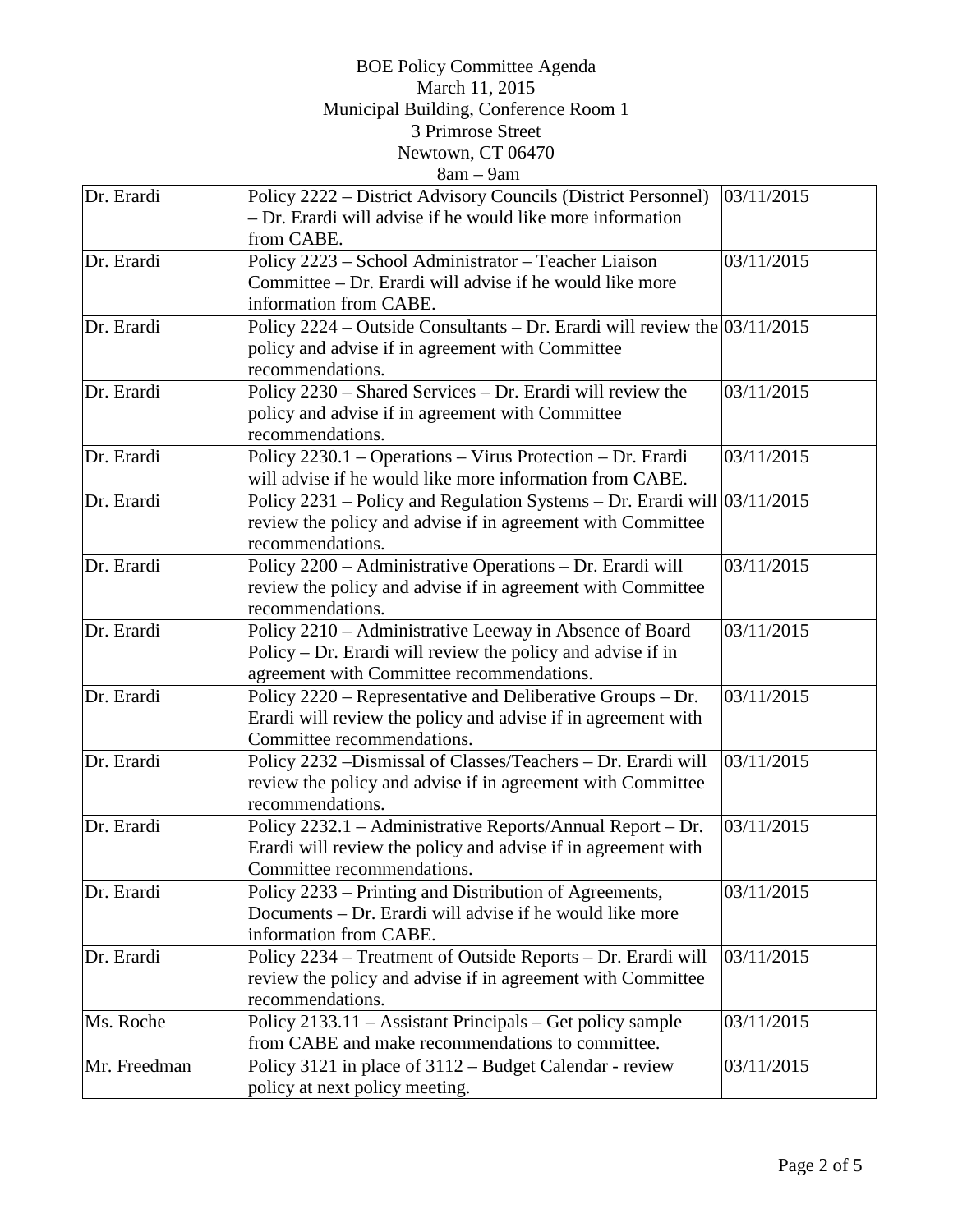## BOE Policy Committee Agenda March 11, 2015 Municipal Building, Conference Room 1 3 Primrose Street Newtown, CT 06470

# $8am - 9am$

| Dr. Erardi   | Policy 2222 – District Advisory Councils (District Personnel)                       | 03/11/2015 |
|--------------|-------------------------------------------------------------------------------------|------------|
|              | - Dr. Erardi will advise if he would like more information                          |            |
|              | from CABE.                                                                          |            |
| Dr. Erardi   | Policy 2223 - School Administrator - Teacher Liaison                                | 03/11/2015 |
|              | Committee - Dr. Erardi will advise if he would like more                            |            |
|              | information from CABE.                                                              |            |
| Dr. Erardi   | Policy 2224 – Outside Consultants – Dr. Erardi will review the $\frac{03}{11/2015}$ |            |
|              | policy and advise if in agreement with Committee                                    |            |
|              | recommendations.                                                                    |            |
| Dr. Erardi   | Policy 2230 - Shared Services - Dr. Erardi will review the                          | 03/11/2015 |
|              | policy and advise if in agreement with Committee                                    |            |
|              | recommendations.                                                                    |            |
| Dr. Erardi   | Policy 2230.1 - Operations - Virus Protection - Dr. Erardi                          | 03/11/2015 |
|              | will advise if he would like more information from CABE.                            |            |
| Dr. Erardi   | Policy $2231$ – Policy and Regulation Systems – Dr. Erardi will $ 03/11/2015$       |            |
|              | review the policy and advise if in agreement with Committee                         |            |
|              | recommendations.                                                                    |            |
| Dr. Erardi   | Policy 2200 - Administrative Operations - Dr. Erardi will                           | 03/11/2015 |
|              | review the policy and advise if in agreement with Committee                         |            |
|              | recommendations.                                                                    |            |
| Dr. Erardi   | Policy 2210 - Administrative Leeway in Absence of Board                             | 03/11/2015 |
|              | Policy – Dr. Erardi will review the policy and advise if in                         |            |
|              | agreement with Committee recommendations.                                           |            |
| Dr. Erardi   | Policy 2220 – Representative and Deliberative Groups – Dr.                          | 03/11/2015 |
|              | Erardi will review the policy and advise if in agreement with                       |            |
|              | Committee recommendations.                                                          |            |
| Dr. Erardi   | Policy 2232 -Dismissal of Classes/Teachers - Dr. Erardi will                        | 03/11/2015 |
|              | review the policy and advise if in agreement with Committee                         |            |
|              | recommendations.                                                                    |            |
| Dr. Erardi   | Policy 2232.1 - Administrative Reports/Annual Report - Dr.                          | 03/11/2015 |
|              | Erardi will review the policy and advise if in agreement with                       |            |
|              | Committee recommendations.                                                          |            |
| Dr. Erardi   | Policy 2233 – Printing and Distribution of Agreements,                              | 03/11/2015 |
|              | Documents – Dr. Erardi will advise if he would like more                            |            |
|              | information from CABE.                                                              |            |
| Dr. Erardi   | Policy 2234 - Treatment of Outside Reports - Dr. Erardi will                        | 03/11/2015 |
|              | review the policy and advise if in agreement with Committee                         |            |
|              | recommendations.                                                                    |            |
| Ms. Roche    | Policy 2133.11 - Assistant Principals - Get policy sample                           | 03/11/2015 |
|              | from CABE and make recommendations to committee.                                    |            |
| Mr. Freedman | Policy 3121 in place of 3112 – Budget Calendar - review                             | 03/11/2015 |
|              | policy at next policy meeting.                                                      |            |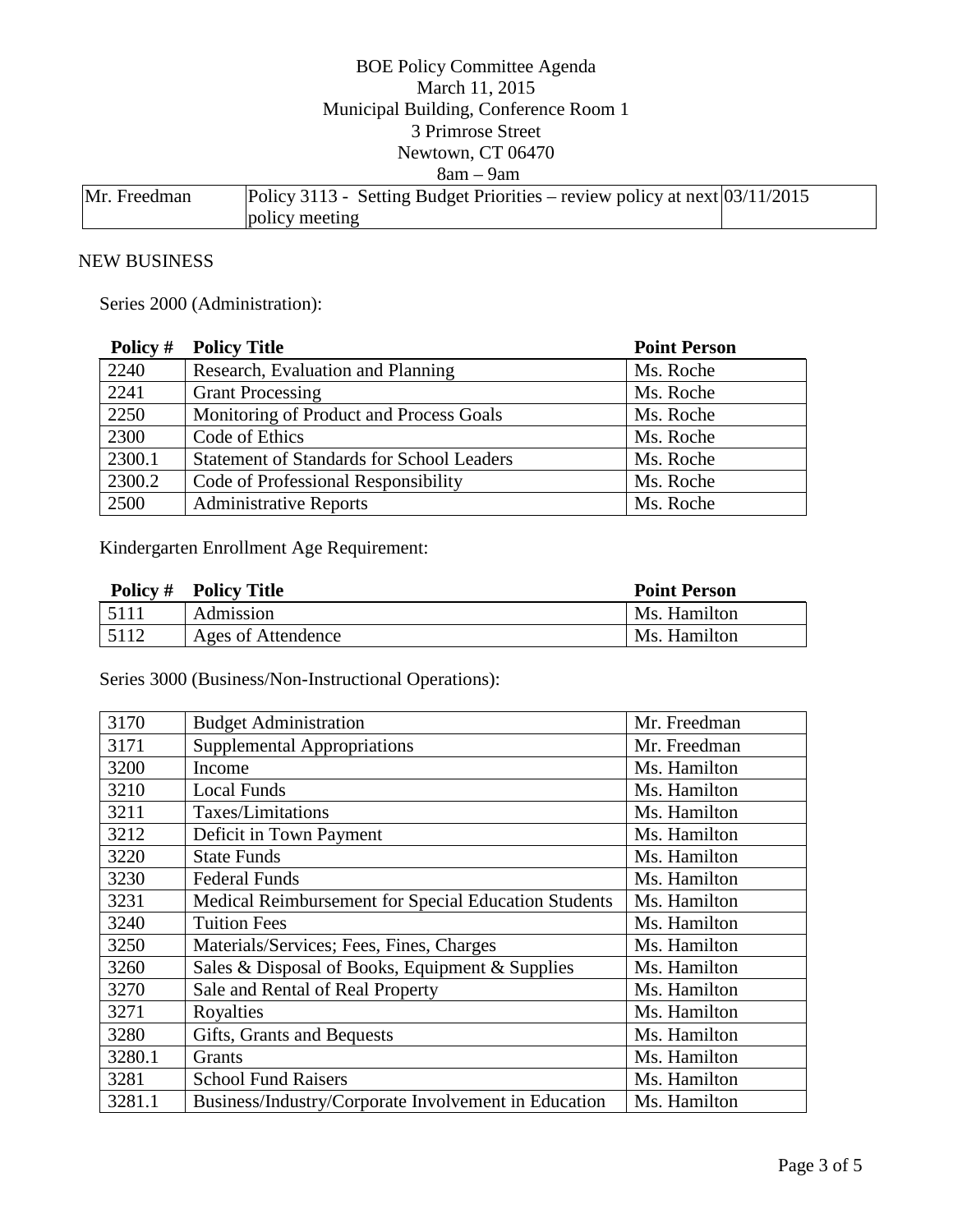### BOE Policy Committee Agenda March 11, 2015 Municipal Building, Conference Room 1 3 Primrose Street Newtown, CT 06470 8am – 9am Mr. Freedman Policy 3113 - Setting Budget Priorities – review policy at next 03/11/2015 policy meeting

#### NEW BUSINESS

Series 2000 (Administration):

| Policy # | <b>Policy Title</b>                              | <b>Point Person</b> |
|----------|--------------------------------------------------|---------------------|
| 2240     | Research, Evaluation and Planning                | Ms. Roche           |
| 2241     | <b>Grant Processing</b>                          | Ms. Roche           |
| 2250     | Monitoring of Product and Process Goals          | Ms. Roche           |
| 2300     | Code of Ethics                                   | Ms. Roche           |
| 2300.1   | <b>Statement of Standards for School Leaders</b> | Ms. Roche           |
| 2300.2   | Code of Professional Responsibility              | Ms. Roche           |
| 2500     | <b>Administrative Reports</b>                    | Ms. Roche           |

Kindergarten Enrollment Age Requirement:

|      | <b>Policy # Policy Title</b> | <b>Point Person</b> |
|------|------------------------------|---------------------|
| 5111 | Admission                    | Ms. Hamilton        |
| 5112 | Ages of Attendence           | Ms. Hamilton        |

Series 3000 (Business/Non-Instructional Operations):

| 3170   | <b>Budget Administration</b>                         | Mr. Freedman |
|--------|------------------------------------------------------|--------------|
| 3171   | <b>Supplemental Appropriations</b>                   | Mr. Freedman |
| 3200   | Income                                               | Ms. Hamilton |
| 3210   | <b>Local Funds</b>                                   | Ms. Hamilton |
| 3211   | Taxes/Limitations                                    | Ms. Hamilton |
| 3212   | Deficit in Town Payment                              | Ms. Hamilton |
| 3220   | <b>State Funds</b>                                   | Ms. Hamilton |
| 3230   | <b>Federal Funds</b>                                 | Ms. Hamilton |
| 3231   | Medical Reimbursement for Special Education Students | Ms. Hamilton |
| 3240   | <b>Tuition Fees</b>                                  | Ms. Hamilton |
| 3250   | Materials/Services; Fees, Fines, Charges             | Ms. Hamilton |
| 3260   | Sales & Disposal of Books, Equipment & Supplies      | Ms. Hamilton |
| 3270   | Sale and Rental of Real Property                     | Ms. Hamilton |
| 3271   | Royalties                                            | Ms. Hamilton |
| 3280   | Gifts, Grants and Bequests                           | Ms. Hamilton |
| 3280.1 | Grants                                               | Ms. Hamilton |
| 3281   | <b>School Fund Raisers</b>                           | Ms. Hamilton |
| 3281.1 | Business/Industry/Corporate Involvement in Education | Ms. Hamilton |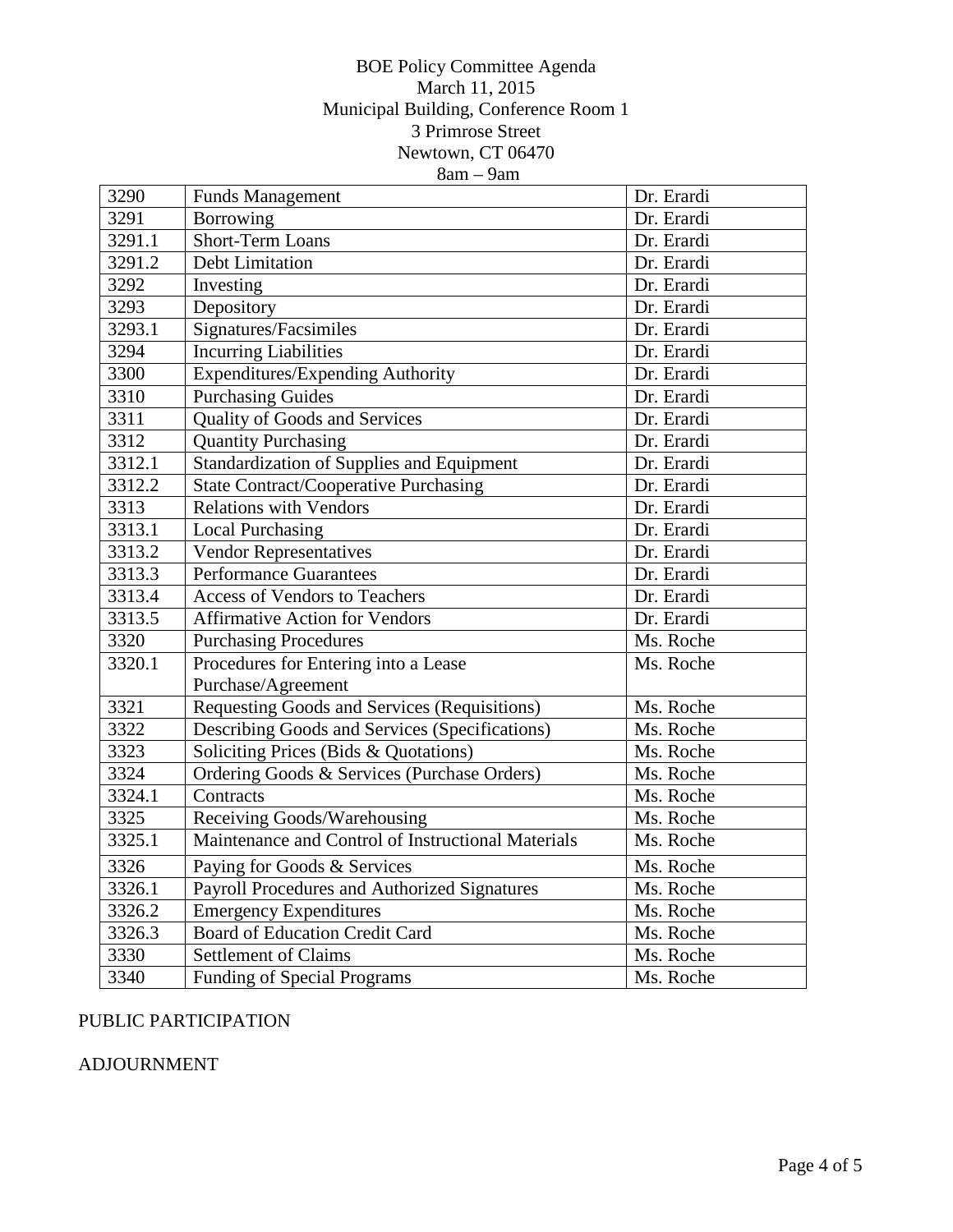### BOE Policy Committee Agenda March 11, 2015 Municipal Building, Conference Room 1 3 Primrose Street Newtown, CT 06470 8am – 9am

| 3290   | <b>Funds Management</b>                            | Dr. Erardi |
|--------|----------------------------------------------------|------------|
| 3291   | Borrowing                                          | Dr. Erardi |
| 3291.1 | <b>Short-Term Loans</b>                            | Dr. Erardi |
| 3291.2 | <b>Debt Limitation</b>                             | Dr. Erardi |
| 3292   | Investing                                          | Dr. Erardi |
| 3293   | Depository                                         | Dr. Erardi |
| 3293.1 | Signatures/Facsimiles                              | Dr. Erardi |
| 3294   | <b>Incurring Liabilities</b>                       | Dr. Erardi |
| 3300   | <b>Expenditures/Expending Authority</b>            | Dr. Erardi |
| 3310   | <b>Purchasing Guides</b>                           | Dr. Erardi |
| 3311   | Quality of Goods and Services                      | Dr. Erardi |
| 3312   | <b>Quantity Purchasing</b>                         | Dr. Erardi |
| 3312.1 | <b>Standardization of Supplies and Equipment</b>   | Dr. Erardi |
| 3312.2 | <b>State Contract/Cooperative Purchasing</b>       | Dr. Erardi |
| 3313   | <b>Relations with Vendors</b>                      | Dr. Erardi |
| 3313.1 | <b>Local Purchasing</b>                            | Dr. Erardi |
| 3313.2 | <b>Vendor Representatives</b>                      | Dr. Erardi |
| 3313.3 | <b>Performance Guarantees</b>                      | Dr. Erardi |
| 3313.4 | <b>Access of Vendors to Teachers</b>               | Dr. Erardi |
| 3313.5 | <b>Affirmative Action for Vendors</b>              | Dr. Erardi |
| 3320   | <b>Purchasing Procedures</b>                       | Ms. Roche  |
| 3320.1 | Procedures for Entering into a Lease               | Ms. Roche  |
|        | Purchase/Agreement                                 |            |
| 3321   | Requesting Goods and Services (Requisitions)       | Ms. Roche  |
| 3322   | Describing Goods and Services (Specifications)     | Ms. Roche  |
| 3323   | Soliciting Prices (Bids & Quotations)              | Ms. Roche  |
| 3324   | Ordering Goods & Services (Purchase Orders)        | Ms. Roche  |
| 3324.1 | Contracts                                          | Ms. Roche  |
| 3325   | Receiving Goods/Warehousing                        | Ms. Roche  |
| 3325.1 | Maintenance and Control of Instructional Materials | Ms. Roche  |
| 3326   | Paying for Goods & Services                        | Ms. Roche  |
| 3326.1 | Payroll Procedures and Authorized Signatures       | Ms. Roche  |
| 3326.2 | <b>Emergency Expenditures</b>                      | Ms. Roche  |
| 3326.3 | <b>Board of Education Credit Card</b>              | Ms. Roche  |
| 3330   | <b>Settlement of Claims</b>                        | Ms. Roche  |
| 3340   | <b>Funding of Special Programs</b>                 | Ms. Roche  |

# PUBLIC PARTICIPATION

## ADJOURNMENT